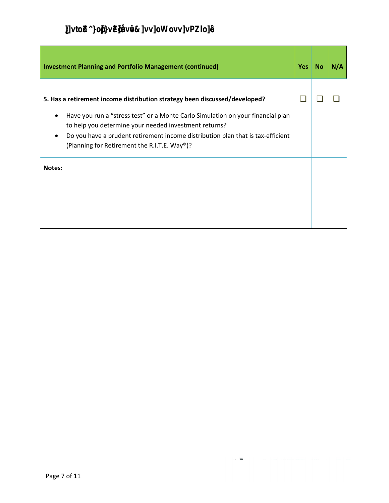| <b>Investment Planning and Portfolio Management (continued)</b>                                                                                                                                                                                                                                                                                                             | Yes | <b>No</b> | N/A |
|-----------------------------------------------------------------------------------------------------------------------------------------------------------------------------------------------------------------------------------------------------------------------------------------------------------------------------------------------------------------------------|-----|-----------|-----|
| 5. Has a retirement income distribution strategy been discussed/developed?<br>Have you run a "stress test" or a Monte Carlo Simulation on your financial plan<br>٠<br>to help you determine your needed investment returns?<br>Do you have a prudent retirement income distribution plan that is tax-efficient<br>(Planning for Retirement the R.I.T.E. Way <sup>®</sup> )? |     |           |     |
| <b>Notes:</b>                                                                                                                                                                                                                                                                                                                                                               |     |           |     |

÷,

г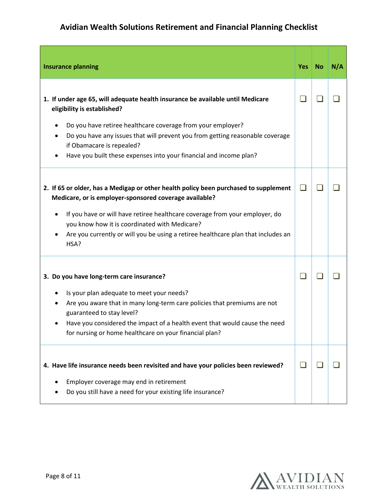| <b>Insurance planning</b>                                                                                                                                                                                                                                                                  | Yes No | N/A |
|--------------------------------------------------------------------------------------------------------------------------------------------------------------------------------------------------------------------------------------------------------------------------------------------|--------|-----|
| 1. If under age 65, will adequate health insurance be available until Medicare<br>eligibility is established?                                                                                                                                                                              |        |     |
| Do you have retiree healthcare coverage from your employer?<br>٠<br>Do you have any issues that will prevent you from getting reasonable coverage<br>if Obamacare is repealed?<br>Have you built these expenses into your financial and income plan?                                       |        |     |
| 2. If 65 or older, has a Medigap or other health policy been purchased to supplement<br>Medicare, or is employer-sponsored coverage available?                                                                                                                                             | H      |     |
| If you have or will have retiree healthcare coverage from your employer, do<br>$\bullet$<br>you know how it is coordinated with Medicare?<br>Are you currently or will you be using a retiree healthcare plan that includes an<br>HSA?                                                     |        |     |
| 3. Do you have long-term care insurance?                                                                                                                                                                                                                                                   |        |     |
| Is your plan adequate to meet your needs?<br>Are you aware that in many long-term care policies that premiums are not<br>guaranteed to stay level?<br>Have you considered the impact of a health event that would cause the need<br>for nursing or home healthcare on your financial plan? |        |     |
| 4. Have life insurance needs been revisited and have your policies been reviewed?                                                                                                                                                                                                          |        |     |
| Employer coverage may end in retirement<br>Do you still have a need for your existing life insurance?                                                                                                                                                                                      |        |     |

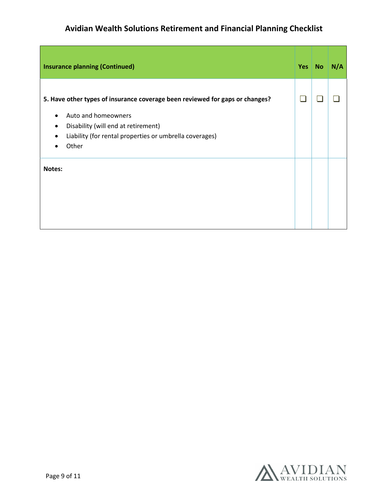| <b>Insurance planning (Continued)</b>                                                                                                                                                                                            | <b>Yes</b> | <b>No</b> | N/A |
|----------------------------------------------------------------------------------------------------------------------------------------------------------------------------------------------------------------------------------|------------|-----------|-----|
| 5. Have other types of insurance coverage been reviewed for gaps or changes?<br>Auto and homeowners<br>Disability (will end at retirement)<br>٠<br>Liability (for rental properties or umbrella coverages)<br>$\bullet$<br>Other |            |           |     |
| Notes:                                                                                                                                                                                                                           |            |           |     |

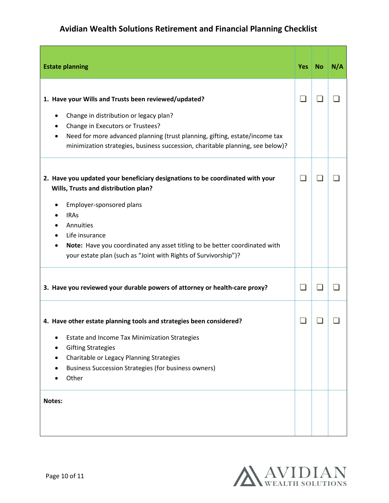| <b>Estate planning</b>                                                                                                                                                                                                                                                                                                                           | Yes | <b>No</b> | N/A |
|--------------------------------------------------------------------------------------------------------------------------------------------------------------------------------------------------------------------------------------------------------------------------------------------------------------------------------------------------|-----|-----------|-----|
| 1. Have your Wills and Trusts been reviewed/updated?<br>Change in distribution or legacy plan?<br>٠<br>Change in Executors or Trustees?<br>Need for more advanced planning (trust planning, gifting, estate/income tax<br>minimization strategies, business succession, charitable planning, see below)?                                         | - 1 |           |     |
| 2. Have you updated your beneficiary designations to be coordinated with your<br>Wills, Trusts and distribution plan?<br>Employer-sponsored plans<br><b>IRAs</b><br>Annuities<br>Life insurance<br>Note: Have you coordinated any asset titling to be better coordinated with<br>your estate plan (such as "Joint with Rights of Survivorship")? |     |           |     |
| 3. Have you reviewed your durable powers of attorney or health-care proxy?                                                                                                                                                                                                                                                                       | - 1 |           |     |
| 4. Have other estate planning tools and strategies been considered?<br>Estate and Income Tax Minimization Strategies<br><b>Gifting Strategies</b><br>Charitable or Legacy Planning Strategies<br><b>Business Succession Strategies (for business owners)</b><br>Other                                                                            |     |           |     |
| Notes:                                                                                                                                                                                                                                                                                                                                           |     |           |     |